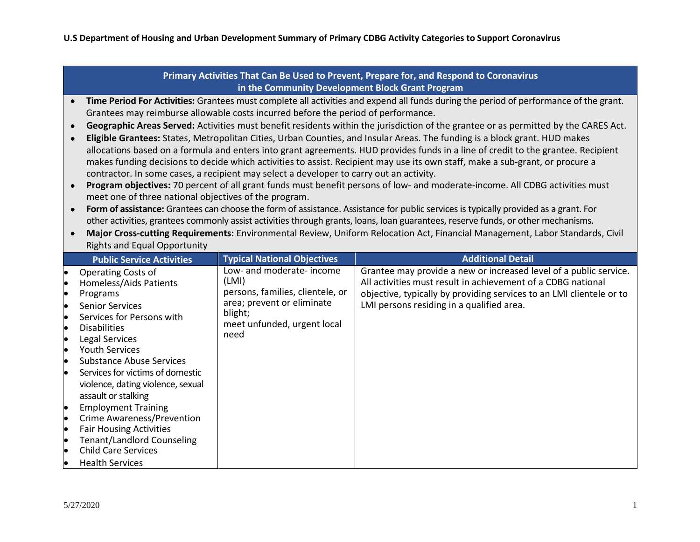| Primary Activities That Can Be Used to Prevent, Prepare for, and Respond to Coronavirus |                                                                                                                                                                                                                                                                                             |                                       |                                                                                                                                   |  |  |  |  |
|-----------------------------------------------------------------------------------------|---------------------------------------------------------------------------------------------------------------------------------------------------------------------------------------------------------------------------------------------------------------------------------------------|---------------------------------------|-----------------------------------------------------------------------------------------------------------------------------------|--|--|--|--|
| in the Community Development Block Grant Program                                        |                                                                                                                                                                                                                                                                                             |                                       |                                                                                                                                   |  |  |  |  |
|                                                                                         | Time Period For Activities: Grantees must complete all activities and expend all funds during the period of performance of the grant.<br>$\bullet$                                                                                                                                          |                                       |                                                                                                                                   |  |  |  |  |
|                                                                                         | Grantees may reimburse allowable costs incurred before the period of performance.                                                                                                                                                                                                           |                                       |                                                                                                                                   |  |  |  |  |
|                                                                                         | Geographic Areas Served: Activities must benefit residents within the jurisdiction of the grantee or as permitted by the CARES Act.<br>$\bullet$<br>Eligible Grantees: States, Metropolitan Cities, Urban Counties, and Insular Areas. The funding is a block grant. HUD makes<br>$\bullet$ |                                       |                                                                                                                                   |  |  |  |  |
|                                                                                         | allocations based on a formula and enters into grant agreements. HUD provides funds in a line of credit to the grantee. Recipient                                                                                                                                                           |                                       |                                                                                                                                   |  |  |  |  |
|                                                                                         | makes funding decisions to decide which activities to assist. Recipient may use its own staff, make a sub-grant, or procure a                                                                                                                                                               |                                       |                                                                                                                                   |  |  |  |  |
|                                                                                         | contractor. In some cases, a recipient may select a developer to carry out an activity.                                                                                                                                                                                                     |                                       |                                                                                                                                   |  |  |  |  |
|                                                                                         | Program objectives: 70 percent of all grant funds must benefit persons of low- and moderate-income. All CDBG activities must<br>$\bullet$                                                                                                                                                   |                                       |                                                                                                                                   |  |  |  |  |
|                                                                                         | meet one of three national objectives of the program.                                                                                                                                                                                                                                       |                                       |                                                                                                                                   |  |  |  |  |
|                                                                                         | Form of assistance: Grantees can choose the form of assistance. Assistance for public services is typically provided as a grant. For<br>$\bullet$                                                                                                                                           |                                       |                                                                                                                                   |  |  |  |  |
|                                                                                         |                                                                                                                                                                                                                                                                                             |                                       | other activities, grantees commonly assist activities through grants, loans, loan guarantees, reserve funds, or other mechanisms. |  |  |  |  |
|                                                                                         | $\bullet$                                                                                                                                                                                                                                                                                   |                                       | Major Cross-cutting Requirements: Environmental Review, Uniform Relocation Act, Financial Management, Labor Standards, Civil      |  |  |  |  |
|                                                                                         | <b>Rights and Equal Opportunity</b>                                                                                                                                                                                                                                                         |                                       |                                                                                                                                   |  |  |  |  |
|                                                                                         |                                                                                                                                                                                                                                                                                             |                                       |                                                                                                                                   |  |  |  |  |
|                                                                                         | <b>Public Service Activities</b>                                                                                                                                                                                                                                                            | <b>Typical National Objectives</b>    | <b>Additional Detail</b>                                                                                                          |  |  |  |  |
|                                                                                         | Operating Costs of                                                                                                                                                                                                                                                                          | Low- and moderate- income             | Grantee may provide a new or increased level of a public service.                                                                 |  |  |  |  |
|                                                                                         | Homeless/Aids Patients                                                                                                                                                                                                                                                                      | (LMI)                                 | All activities must result in achievement of a CDBG national                                                                      |  |  |  |  |
|                                                                                         | Programs                                                                                                                                                                                                                                                                                    | persons, families, clientele, or      | objective, typically by providing services to an LMI clientele or to                                                              |  |  |  |  |
|                                                                                         | <b>Senior Services</b>                                                                                                                                                                                                                                                                      | area; prevent or eliminate<br>blight; | LMI persons residing in a qualified area.                                                                                         |  |  |  |  |
| le<br>le.                                                                               | Services for Persons with                                                                                                                                                                                                                                                                   | meet unfunded, urgent local           |                                                                                                                                   |  |  |  |  |
| <b>le</b>                                                                               | <b>Disabilities</b><br>Legal Services                                                                                                                                                                                                                                                       | need                                  |                                                                                                                                   |  |  |  |  |
| <b>le</b>                                                                               | <b>Youth Services</b>                                                                                                                                                                                                                                                                       |                                       |                                                                                                                                   |  |  |  |  |
| le                                                                                      | <b>Substance Abuse Services</b>                                                                                                                                                                                                                                                             |                                       |                                                                                                                                   |  |  |  |  |
|                                                                                         | Services for victims of domestic                                                                                                                                                                                                                                                            |                                       |                                                                                                                                   |  |  |  |  |
|                                                                                         | violence, dating violence, sexual                                                                                                                                                                                                                                                           |                                       |                                                                                                                                   |  |  |  |  |
|                                                                                         | assault or stalking                                                                                                                                                                                                                                                                         |                                       |                                                                                                                                   |  |  |  |  |
| þ                                                                                       | <b>Employment Training</b>                                                                                                                                                                                                                                                                  |                                       |                                                                                                                                   |  |  |  |  |
| le                                                                                      | <b>Crime Awareness/Prevention</b>                                                                                                                                                                                                                                                           |                                       |                                                                                                                                   |  |  |  |  |
| <b>le</b><br>le                                                                         | <b>Fair Housing Activities</b>                                                                                                                                                                                                                                                              |                                       |                                                                                                                                   |  |  |  |  |
| l.                                                                                      | <b>Tenant/Landlord Counseling</b><br><b>Child Care Services</b>                                                                                                                                                                                                                             |                                       |                                                                                                                                   |  |  |  |  |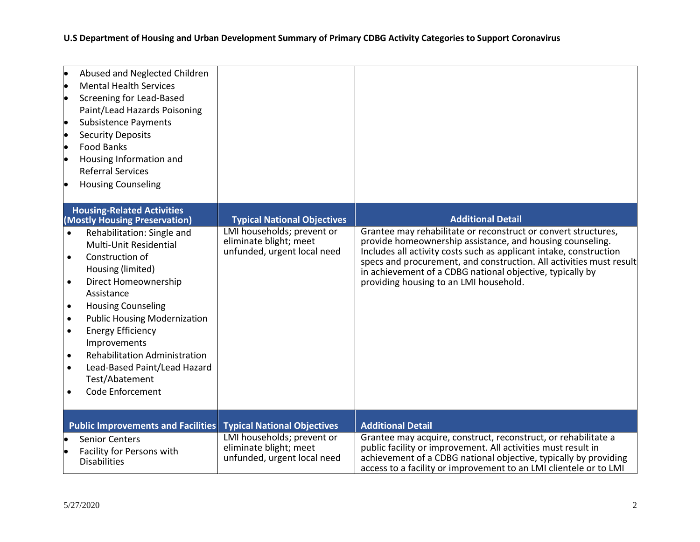**U.S Department of Housing and Urban Development Summary of Primary CDBG Activity Categories to Support Coronavirus** 

| Abused and Neglected Children<br><b>Mental Health Services</b><br><b>Screening for Lead-Based</b><br>Paint/Lead Hazards Poisoning<br><b>Subsistence Payments</b><br>le<br><b>Security Deposits</b><br><b>Food Banks</b><br>Housing Information and<br><b>Referral Services</b><br><b>Housing Counseling</b>                                                                                                                                                              |                                                                                     |                                                                                                                                                                                                                                                                                                                                                                                 |
|--------------------------------------------------------------------------------------------------------------------------------------------------------------------------------------------------------------------------------------------------------------------------------------------------------------------------------------------------------------------------------------------------------------------------------------------------------------------------|-------------------------------------------------------------------------------------|---------------------------------------------------------------------------------------------------------------------------------------------------------------------------------------------------------------------------------------------------------------------------------------------------------------------------------------------------------------------------------|
| <b>Housing-Related Activities</b><br>(Mostly Housing Preservation)                                                                                                                                                                                                                                                                                                                                                                                                       | <b>Typical National Objectives</b>                                                  | <b>Additional Detail</b>                                                                                                                                                                                                                                                                                                                                                        |
| Rehabilitation: Single and<br>$\bullet$<br>Multi-Unit Residential<br>Construction of<br>$\bullet$<br>Housing (limited)<br>Direct Homeownership<br>$\bullet$<br>Assistance<br><b>Housing Counseling</b><br>$\bullet$<br><b>Public Housing Modernization</b><br>$\bullet$<br><b>Energy Efficiency</b><br>$\bullet$<br>Improvements<br><b>Rehabilitation Administration</b><br>$\bullet$<br>Lead-Based Paint/Lead Hazard<br>$\bullet$<br>Test/Abatement<br>Code Enforcement | LMI households; prevent or<br>eliminate blight; meet<br>unfunded, urgent local need | Grantee may rehabilitate or reconstruct or convert structures,<br>provide homeownership assistance, and housing counseling.<br>Includes all activity costs such as applicant intake, construction<br>specs and procurement, and construction. All activities must result<br>in achievement of a CDBG national objective, typically by<br>providing housing to an LMI household. |
| <b>Public Improvements and Facilities</b>                                                                                                                                                                                                                                                                                                                                                                                                                                | <b>Typical National Objectives</b>                                                  | <b>Additional Detail</b>                                                                                                                                                                                                                                                                                                                                                        |
| <b>Senior Centers</b><br>Facility for Persons with<br><b>Disabilities</b>                                                                                                                                                                                                                                                                                                                                                                                                | LMI households; prevent or<br>eliminate blight; meet<br>unfunded, urgent local need | Grantee may acquire, construct, reconstruct, or rehabilitate a<br>public facility or improvement. All activities must result in<br>achievement of a CDBG national objective, typically by providing<br>access to a facility or improvement to an LMI clientele or to LMI                                                                                                        |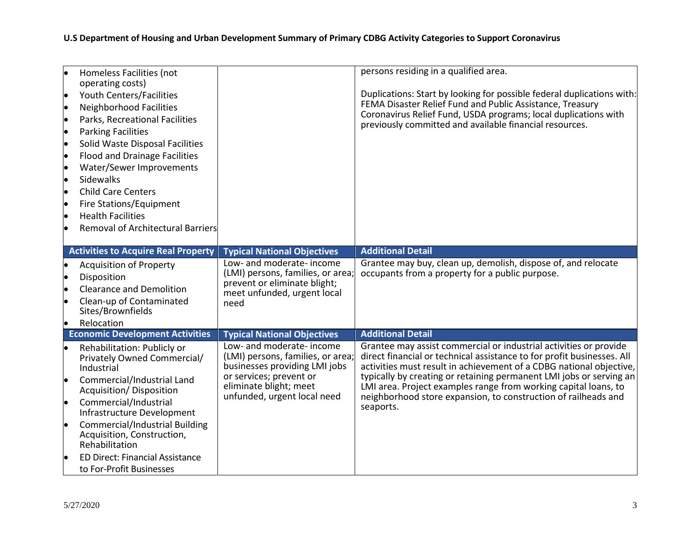| Homeless Facilities (not<br>operating costs)           |                                                                | persons residing in a qualified area.                                                                                                       |
|--------------------------------------------------------|----------------------------------------------------------------|---------------------------------------------------------------------------------------------------------------------------------------------|
| Youth Centers/Facilities                               |                                                                | Duplications: Start by looking for possible federal duplications with:                                                                      |
| <b>Neighborhood Facilities</b><br>lo                   |                                                                | FEMA Disaster Relief Fund and Public Assistance, Treasury                                                                                   |
| Parks, Recreational Facilities                         |                                                                | Coronavirus Relief Fund, USDA programs; local duplications with                                                                             |
|                                                        |                                                                | previously committed and available financial resources.                                                                                     |
| <b>Parking Facilities</b><br>lo                        |                                                                |                                                                                                                                             |
| Solid Waste Disposal Facilities<br>lo                  |                                                                |                                                                                                                                             |
| <b>Flood and Drainage Facilities</b>                   |                                                                |                                                                                                                                             |
| Water/Sewer Improvements                               |                                                                |                                                                                                                                             |
| Sidewalks                                              |                                                                |                                                                                                                                             |
| <b>Child Care Centers</b>                              |                                                                |                                                                                                                                             |
| Fire Stations/Equipment<br>lo                          |                                                                |                                                                                                                                             |
| <b>Health Facilities</b>                               |                                                                |                                                                                                                                             |
| <b>Removal of Architectural Barriers</b>               |                                                                |                                                                                                                                             |
|                                                        |                                                                |                                                                                                                                             |
| <b>Activities to Acquire Real Property</b>             | <b>Typical National Objectives</b>                             | <b>Additional Detail</b>                                                                                                                    |
| <b>Acquisition of Property</b>                         | Low- and moderate- income<br>(LMI) persons, families, or area; | Grantee may buy, clean up, demolish, dispose of, and relocate<br>occupants from a property for a public purpose.                            |
| Disposition                                            | prevent or eliminate blight;                                   |                                                                                                                                             |
| <b>Clearance and Demolition</b>                        | meet unfunded, urgent local                                    |                                                                                                                                             |
| Clean-up of Contaminated                               | need                                                           |                                                                                                                                             |
| Sites/Brownfields                                      |                                                                |                                                                                                                                             |
| Relocation<br>lo                                       |                                                                |                                                                                                                                             |
| <b>Economic Development Activities</b>                 | <b>Typical National Objectives</b>                             | <b>Additional Detail</b>                                                                                                                    |
| Rehabilitation: Publicly or<br>lo                      | Low- and moderate- income<br>(LMI) persons, families, or area; | Grantee may assist commercial or industrial activities or provide<br>direct financial or technical assistance to for profit businesses. All |
| Privately Owned Commercial/<br>Industrial              | businesses providing LMI jobs                                  | activities must result in achievement of a CDBG national objective,                                                                         |
|                                                        | or services; prevent or                                        | typically by creating or retaining permanent LMI jobs or serving an                                                                         |
| Commercial/Industrial Land<br>Acquisition/ Disposition | eliminate blight; meet                                         | LMI area. Project examples range from working capital loans, to                                                                             |
| Commercial/Industrial                                  | unfunded, urgent local need                                    | neighborhood store expansion, to construction of railheads and                                                                              |
| Infrastructure Development                             |                                                                | seaports.                                                                                                                                   |
| <b>Commercial/Industrial Building</b>                  |                                                                |                                                                                                                                             |
| Acquisition, Construction,                             |                                                                |                                                                                                                                             |
| Rehabilitation                                         |                                                                |                                                                                                                                             |
| <b>ED Direct: Financial Assistance</b>                 |                                                                |                                                                                                                                             |
| to For-Profit Businesses                               |                                                                |                                                                                                                                             |